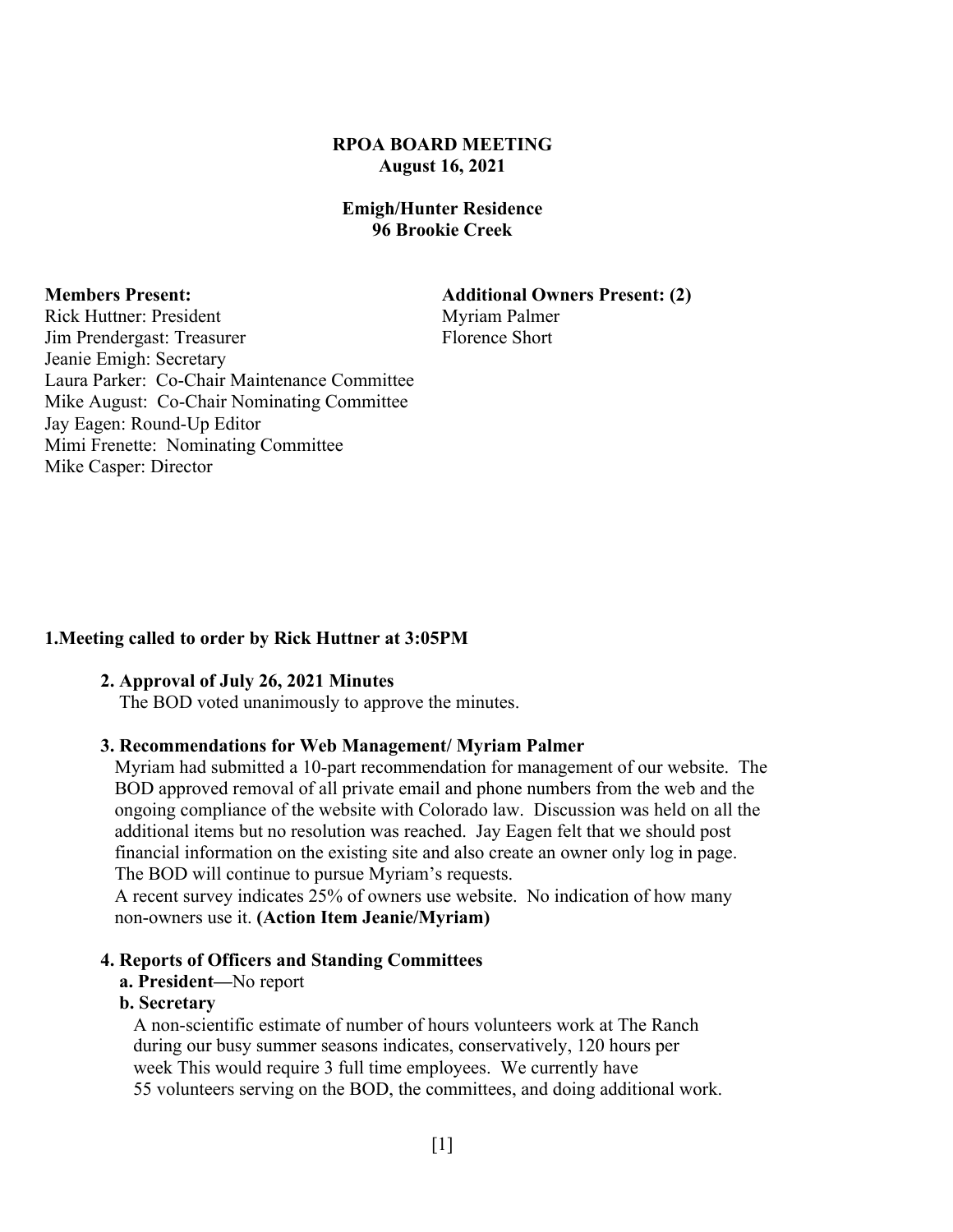#### **RPOA BOARD MEETING August 16, 2021**

#### **Emigh/Hunter Residence 96 Brookie Creek**

**Members Present: Additional Owners Present: (2)**

Rick Huttner: President Myriam Palmer Jim Prendergast: Treasurer Florence Short Jeanie Emigh: Secretary Laura Parker: Co-Chair Maintenance Committee Mike August: Co-Chair Nominating Committee Jay Eagen: Round-Up Editor Mimi Frenette: Nominating Committee Mike Casper: Director

# **1.Meeting called to order by Rick Huttner at 3:05PM**

#### **2. Approval of July 26, 2021 Minutes**

The BOD voted unanimously to approve the minutes.

#### **3. Recommendations for Web Management/ Myriam Palmer**

 Myriam had submitted a 10-part recommendation for management of our website. The BOD approved removal of all private email and phone numbers from the web and the ongoing compliance of the website with Colorado law. Discussion was held on all the additional items but no resolution was reached. Jay Eagen felt that we should post financial information on the existing site and also create an owner only log in page. The BOD will continue to pursue Myriam's requests.

 A recent survey indicates 25% of owners use website. No indication of how many non-owners use it. **(Action Item Jeanie/Myriam)**

#### **4. Reports of Officers and Standing Committees**

#### **a. President—**No report

#### **b. Secretary**

 A non-scientific estimate of number of hours volunteers work at The Ranch during our busy summer seasons indicates, conservatively, 120 hours per week This would require 3 full time employees. We currently have 55 volunteers serving on the BOD, the committees, and doing additional work.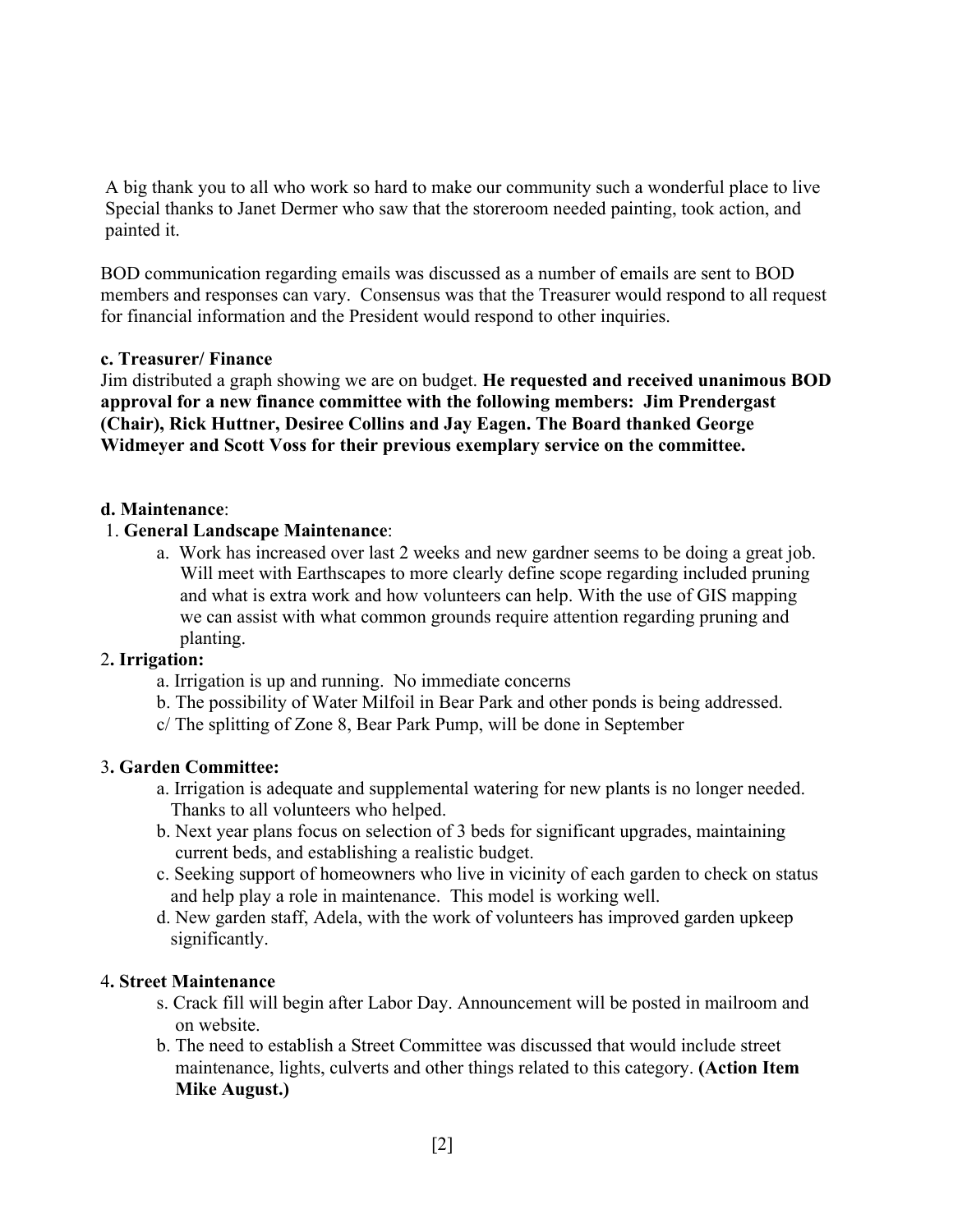A big thank you to all who work so hard to make our community such a wonderful place to live Special thanks to Janet Dermer who saw that the storeroom needed painting, took action, and painted it.

BOD communication regarding emails was discussed as a number of emails are sent to BOD members and responses can vary. Consensus was that the Treasurer would respond to all request for financial information and the President would respond to other inquiries.

# **c. Treasurer/ Finance**

Jim distributed a graph showing we are on budget. **He requested and received unanimous BOD approval for a new finance committee with the following members: Jim Prendergast (Chair), Rick Huttner, Desiree Collins and Jay Eagen. The Board thanked George Widmeyer and Scott Voss for their previous exemplary service on the committee.**

## **d. Maintenance**:

## 1. **General Landscape Maintenance**:

a. Work has increased over last 2 weeks and new gardner seems to be doing a great job. Will meet with Earthscapes to more clearly define scope regarding included pruning and what is extra work and how volunteers can help. With the use of GIS mapping we can assist with what common grounds require attention regarding pruning and planting.

#### 2**. Irrigation:**

- a. Irrigation is up and running. No immediate concerns
- b. The possibility of Water Milfoil in Bear Park and other ponds is being addressed.
- c/ The splitting of Zone 8, Bear Park Pump, will be done in September

#### 3**. Garden Committee:**

- a. Irrigation is adequate and supplemental watering for new plants is no longer needed. Thanks to all volunteers who helped.
- b. Next year plans focus on selection of 3 beds for significant upgrades, maintaining current beds, and establishing a realistic budget.
- c. Seeking support of homeowners who live in vicinity of each garden to check on status and help play a role in maintenance. This model is working well.
- d. New garden staff, Adela, with the work of volunteers has improved garden upkeep significantly.

#### 4**. Street Maintenance**

- s. Crack fill will begin after Labor Day. Announcement will be posted in mailroom and on website.
- b. The need to establish a Street Committee was discussed that would include street maintenance, lights, culverts and other things related to this category. **(Action Item Mike August.)**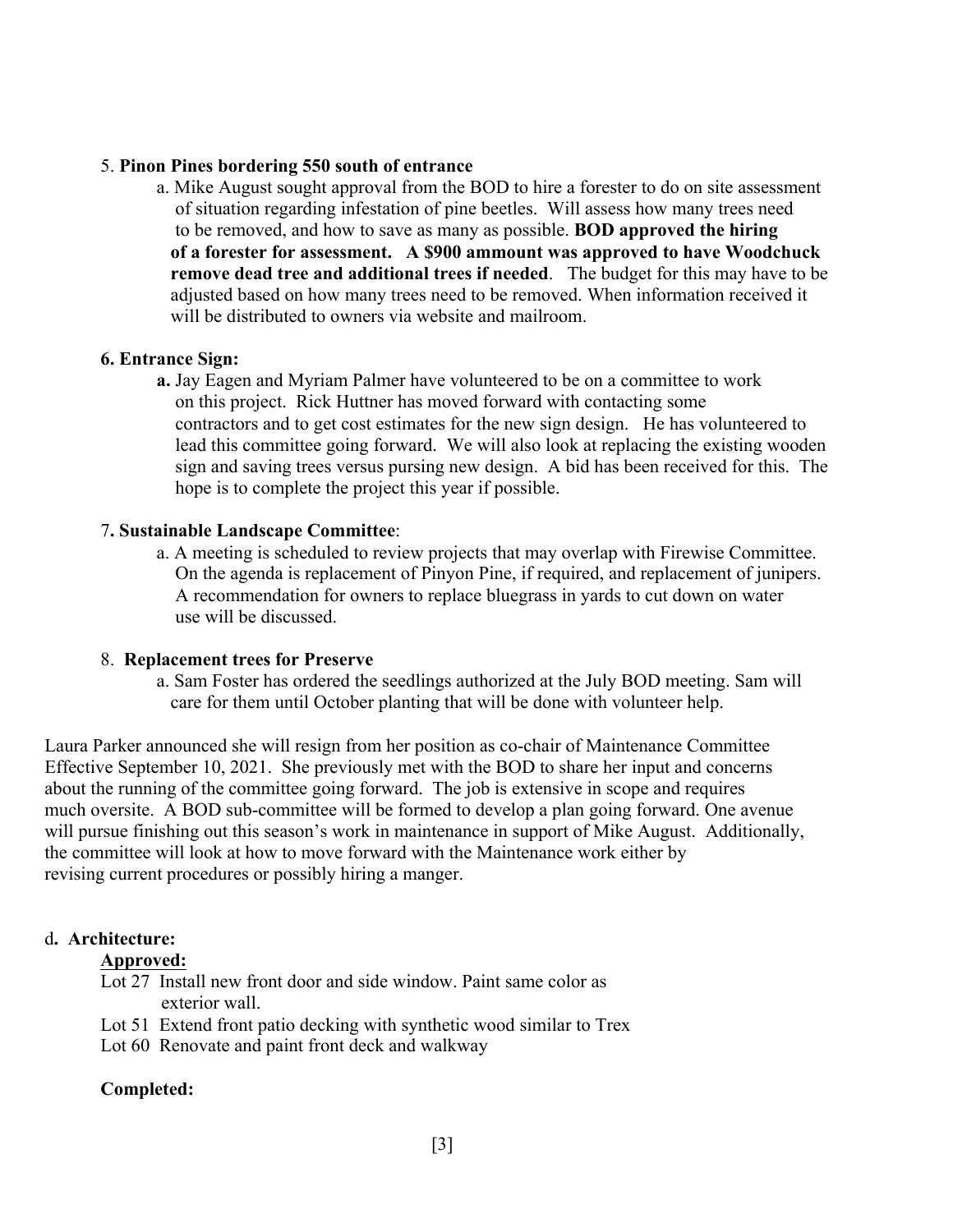#### 5. **Pinon Pines bordering 550 south of entrance**

a. Mike August sought approval from the BOD to hire a forester to do on site assessment of situation regarding infestation of pine beetles. Will assess how many trees need to be removed, and how to save as many as possible. **BOD approved the hiring of a forester for assessment. A \$900 ammount was approved to have Woodchuck remove dead tree and additional trees if needed**. The budget for this may have to be adjusted based on how many trees need to be removed. When information received it will be distributed to owners via website and mailroom.

## **6. Entrance Sign:**

**a.** Jay Eagen and Myriam Palmer have volunteered to be on a committee to work on this project. Rick Huttner has moved forward with contacting some contractors and to get cost estimates for the new sign design. He has volunteered to lead this committee going forward. We will also look at replacing the existing wooden sign and saving trees versus pursing new design. A bid has been received for this. The hope is to complete the project this year if possible.

## 7**. Sustainable Landscape Committee**:

a. A meeting is scheduled to review projects that may overlap with Firewise Committee. On the agenda is replacement of Pinyon Pine, if required, and replacement of junipers. A recommendation for owners to replace bluegrass in yards to cut down on water use will be discussed.

#### 8. **Replacement trees for Preserve**

a. Sam Foster has ordered the seedlings authorized at the July BOD meeting. Sam will care for them until October planting that will be done with volunteer help.

Laura Parker announced she will resign from her position as co-chair of Maintenance Committee Effective September 10, 2021. She previously met with the BOD to share her input and concerns about the running of the committee going forward. The job is extensive in scope and requires much oversite. A BOD sub-committee will be formed to develop a plan going forward. One avenue will pursue finishing out this season's work in maintenance in support of Mike August. Additionally, the committee will look at how to move forward with the Maintenance work either by revising current procedures or possibly hiring a manger.

# d**. Architecture:**

#### **Approved:**

- Lot 27 Install new front door and side window. Paint same color as exterior wall.
- Lot 51 Extend front patio decking with synthetic wood similar to Trex
- Lot 60 Renovate and paint front deck and walkway

# **Completed:**